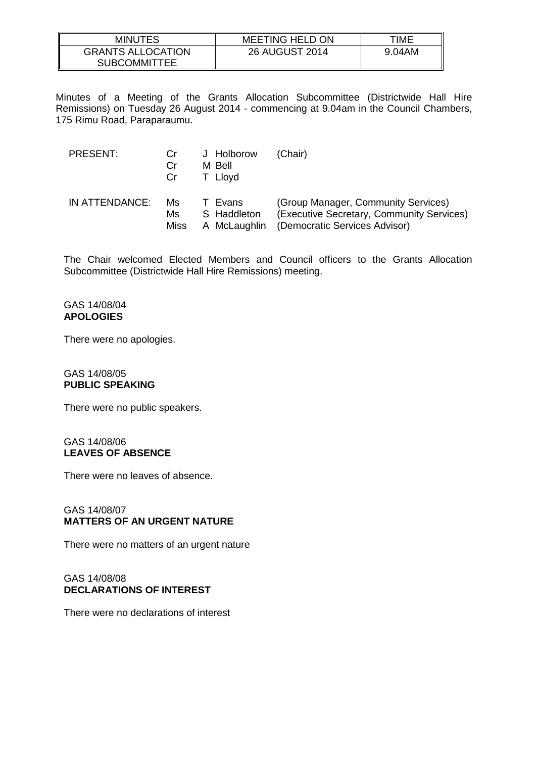| <b>MINUTES</b>           | <b>MEETING HELD ON</b> | TIME   |
|--------------------------|------------------------|--------|
| <b>GRANTS ALLOCATION</b> | 26 AUGUST 2014         | 9.04AM |
| <b>SUBCOMMITTEE</b>      |                        |        |

Minutes of a Meeting of the Grants Allocation Subcommittee (Districtwide Hall Hire Remissions) on Tuesday 26 August 2014 - commencing at 9.04am in the Council Chambers, 175 Rimu Road, Paraparaumu.

| PRESENT:       | Cr<br>Cr<br>Cr | J Holborow<br>M Bell<br>T Lloyd | (Chair)                                   |
|----------------|----------------|---------------------------------|-------------------------------------------|
| IN ATTENDANCE: | Ms             | T Evans                         | (Group Manager, Community Services)       |
|                | Ms             | S Haddleton                     | (Executive Secretary, Community Services) |
|                | Miss           | A McLaughlin                    | (Democratic Services Advisor)             |

The Chair welcomed Elected Members and Council officers to the Grants Allocation Subcommittee (Districtwide Hall Hire Remissions) meeting.

### GAS 14/08/04 **APOLOGIES**

There were no apologies.

#### GAS 14/08/05 **PUBLIC SPEAKING**

There were no public speakers.

### GAS 14/08/06 **LEAVES OF ABSENCE**

There were no leaves of absence.

# GAS 14/08/07 **MATTERS OF AN URGENT NATURE**

There were no matters of an urgent nature

# GAS 14/08/08 **DECLARATIONS OF INTEREST**

There were no declarations of interest